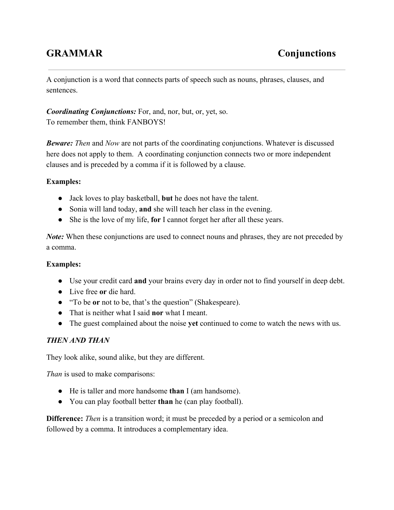A conjunction is a word that connects parts of speech such as nouns, phrases, clauses, and sentences.

*Coordinating Conjunctions:* For, and, nor, but, or, yet, so. To remember them, think FANBOYS!

*Beware: Then* and *Now* are not parts of the coordinating conjunctions. Whatever is discussed here does not apply to them. A coordinating conjunction connects two or more independent clauses and is preceded by a comma if it is followed by a clause.

## **Examples:**

- Jack loves to play basketball, **but**he does not have the talent.
- Sonia will land today, **and**she will teach her class in the evening.
- She is the love of my life, **for**I cannot forget her after all these years.

*Note:* When these conjunctions are used to connect nouns and phrases, they are not preceded by a comma.

## **Examples:**

- Use your credit card **and**your brains every day in order not to find yourself in deep debt.
- Live free **or**die hard.
- "To be **or**not to be, that's the question" (Shakespeare).
- That is neither what I said **nor** what I meant.
- The guest complained about the noise **yet** continued to come to watch the news with us.

## *THEN AND THAN*

They look alike, sound alike, but they are different.

*Than* is used to make comparisons:

- He is taller and more handsome **than**I (am handsome).
- You can play football better **than**he (can play football).

**Difference:***Then* is a transition word; it must be preceded by a period or a semicolon and followed by a comma. It introduces a complementary idea.